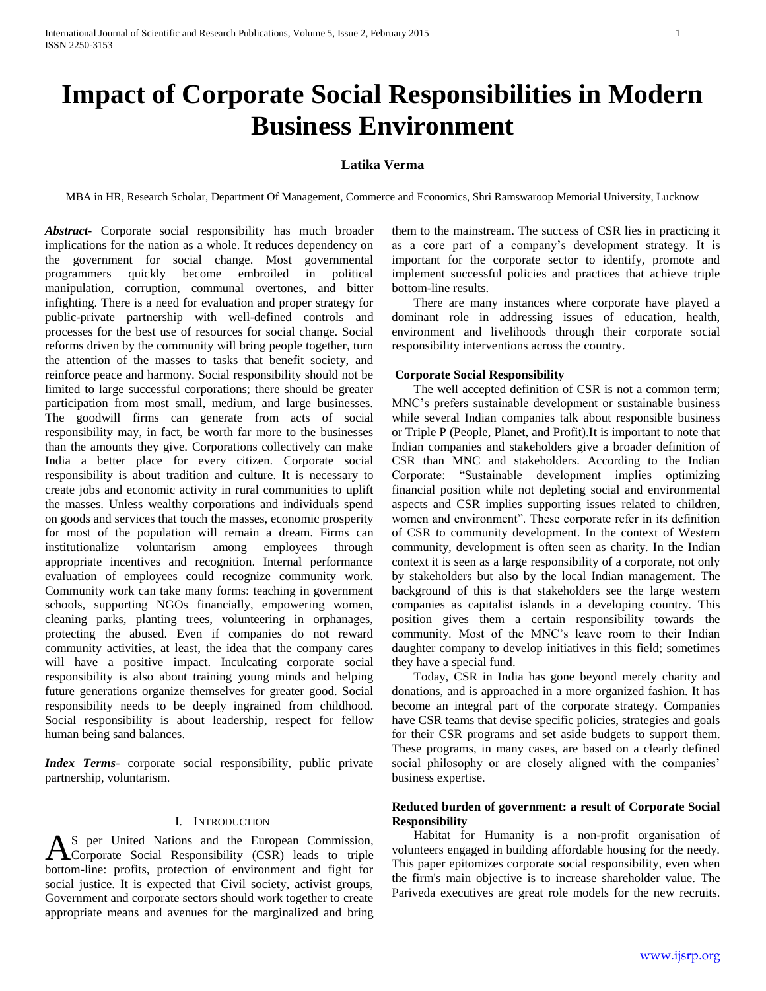# **Impact of Corporate Social Responsibilities in Modern Business Environment**

# **Latika Verma**

MBA in HR, Research Scholar, Department Of Management, Commerce and Economics, Shri Ramswaroop Memorial University, Lucknow

*Abstract***-** Corporate social responsibility has much broader implications for the nation as a whole. It reduces dependency on the government for social change. Most governmental programmers quickly become embroiled in political manipulation, corruption, communal overtones, and bitter infighting. There is a need for evaluation and proper strategy for public-private partnership with well-defined controls and processes for the best use of resources for social change. Social reforms driven by the community will bring people together, turn the attention of the masses to tasks that benefit society, and reinforce peace and harmony. Social responsibility should not be limited to large successful corporations; there should be greater participation from most small, medium, and large businesses. The goodwill firms can generate from acts of social responsibility may, in fact, be worth far more to the businesses than the amounts they give. Corporations collectively can make India a better place for every citizen. Corporate social responsibility is about tradition and culture. It is necessary to create jobs and economic activity in rural communities to uplift the masses. Unless wealthy corporations and individuals spend on goods and services that touch the masses, economic prosperity for most of the population will remain a dream. Firms can institutionalize voluntarism among employees through appropriate incentives and recognition. Internal performance evaluation of employees could recognize community work. Community work can take many forms: teaching in government schools, supporting NGOs financially, empowering women, cleaning parks, planting trees, volunteering in orphanages, protecting the abused. Even if companies do not reward community activities, at least, the idea that the company cares will have a positive impact. Inculcating corporate social responsibility is also about training young minds and helping future generations organize themselves for greater good. Social responsibility needs to be deeply ingrained from childhood. Social responsibility is about leadership, respect for fellow human being sand balances.

*Index Terms*- corporate social responsibility, public private partnership, voluntarism.

#### I. INTRODUCTION

S per United Nations and the European Commission, AS per United Nations and the European Commission,<br>Corporate Social Responsibility (CSR) leads to triple bottom-line: profits, protection of environment and fight for social justice. It is expected that Civil society, activist groups, Government and corporate sectors should work together to create appropriate means and avenues for the marginalized and bring

them to the mainstream. The success of CSR lies in practicing it as a core part of a company's development strategy. It is important for the corporate sector to identify, promote and implement successful policies and practices that achieve triple bottom-line results.

 There are many instances where corporate have played a dominant role in addressing issues of education, health, environment and livelihoods through their corporate social responsibility interventions across the country.

#### **Corporate Social Responsibility**

 The well accepted definition of CSR is not a common term; MNC's prefers sustainable development or sustainable business while several Indian companies talk about responsible business or Triple P (People, Planet, and Profit).It is important to note that Indian companies and stakeholders give a broader definition of CSR than MNC and stakeholders. According to the Indian Corporate: "Sustainable development implies optimizing financial position while not depleting social and environmental aspects and CSR implies supporting issues related to children, women and environment". These corporate refer in its definition of CSR to community development. In the context of Western community, development is often seen as charity. In the Indian context it is seen as a large responsibility of a corporate, not only by stakeholders but also by the local Indian management. The background of this is that stakeholders see the large western companies as capitalist islands in a developing country. This position gives them a certain responsibility towards the community. Most of the MNC's leave room to their Indian daughter company to develop initiatives in this field; sometimes they have a special fund.

 Today, CSR in India has gone beyond merely charity and donations, and is approached in a more organized fashion. It has become an integral part of the corporate strategy. Companies have CSR teams that devise specific policies, strategies and goals for their CSR programs and set aside budgets to support them. These programs, in many cases, are based on a clearly defined social philosophy or are closely aligned with the companies' business expertise.

# **Reduced burden of government: a result of Corporate Social Responsibility**

 Habitat for Humanity is a non-profit organisation of volunteers engaged in building affordable housing for the needy. This paper epitomizes corporate social responsibility, even when the firm's main objective is to increase shareholder value. The Pariveda executives are great role models for the new recruits.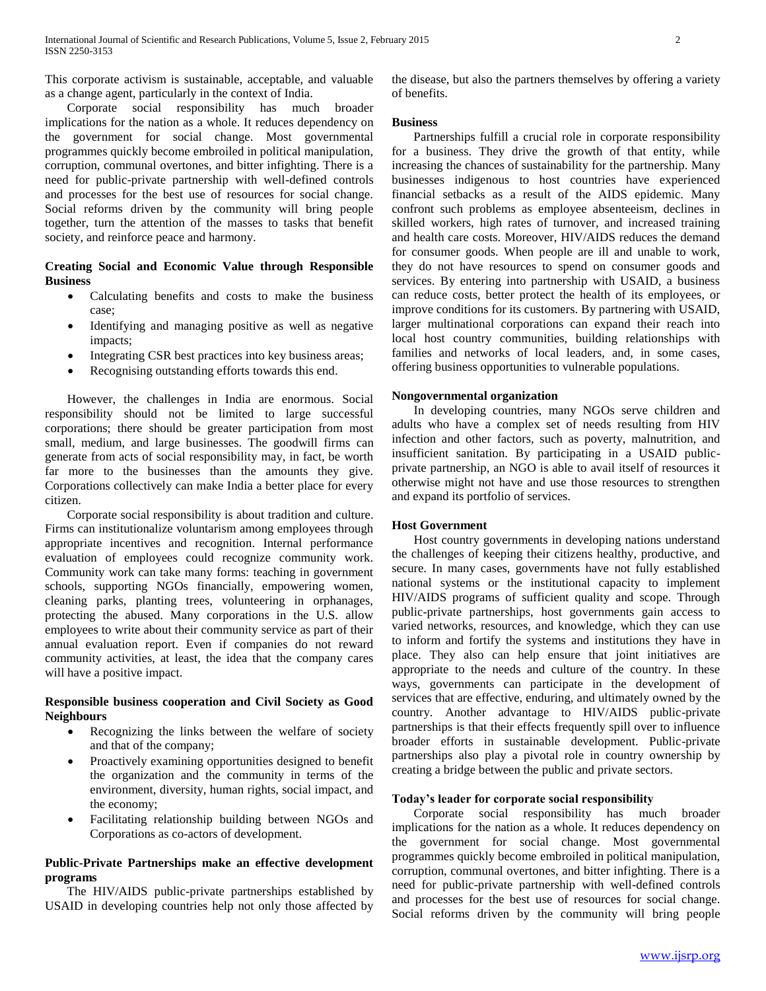This corporate activism is sustainable, acceptable, and valuable as a change agent, particularly in the context of India.

 Corporate social responsibility has much broader implications for the nation as a whole. It reduces dependency on the government for social change. Most governmental programmes quickly become embroiled in political manipulation, corruption, communal overtones, and bitter infighting. There is a need for public-private partnership with well-defined controls and processes for the best use of resources for social change. Social reforms driven by the community will bring people together, turn the attention of the masses to tasks that benefit society, and reinforce peace and harmony.

## **Creating Social and Economic Value through Responsible Business**

- Calculating benefits and costs to make the business case;
- Identifying and managing positive as well as negative impacts;
- Integrating CSR best practices into key business areas;
- Recognising outstanding efforts towards this end.

 However, the challenges in India are enormous. Social responsibility should not be limited to large successful corporations; there should be greater participation from most small, medium, and large businesses. The goodwill firms can generate from acts of social responsibility may, in fact, be worth far more to the businesses than the amounts they give. Corporations collectively can make India a better place for every citizen.

 Corporate social responsibility is about tradition and culture. Firms can institutionalize voluntarism among employees through appropriate incentives and recognition. Internal performance evaluation of employees could recognize community work. Community work can take many forms: teaching in government schools, supporting NGOs financially, empowering women, cleaning parks, planting trees, volunteering in orphanages, protecting the abused. Many corporations in the U.S. allow employees to write about their community service as part of their annual evaluation report. Even if companies do not reward community activities, at least, the idea that the company cares will have a positive impact.

# **Responsible business cooperation and Civil Society as Good Neighbours**

- Recognizing the links between the welfare of society and that of the company;
- Proactively examining opportunities designed to benefit the organization and the community in terms of the environment, diversity, human rights, social impact, and the economy;
- Facilitating relationship building between NGOs and Corporations as co-actors of development.

# **Public-Private Partnerships make an effective development programs**

 The HIV/AIDS public-private partnerships established by USAID in developing countries help not only those affected by

the disease, but also the partners themselves by offering a variety of benefits.

## **Business**

 Partnerships fulfill a crucial role in corporate responsibility for a business. They drive the growth of that entity, while increasing the chances of sustainability for the partnership. Many businesses indigenous to host countries have experienced financial setbacks as a result of the AIDS epidemic. Many confront such problems as employee absenteeism, declines in skilled workers, high rates of turnover, and increased training and health care costs. Moreover, HIV/AIDS reduces the demand for consumer goods. When people are ill and unable to work, they do not have resources to spend on consumer goods and services. By entering into partnership with USAID, a business can reduce costs, better protect the health of its employees, or improve conditions for its customers. By partnering with USAID, larger multinational corporations can expand their reach into local host country communities, building relationships with families and networks of local leaders, and, in some cases, offering business opportunities to vulnerable populations.

## **Nongovernmental organization**

 In developing countries, many NGOs serve children and adults who have a complex set of needs resulting from HIV infection and other factors, such as poverty, malnutrition, and insufficient sanitation. By participating in a USAID publicprivate partnership, an NGO is able to avail itself of resources it otherwise might not have and use those resources to strengthen and expand its portfolio of services.

## **Host Government**

 Host country governments in developing nations understand the challenges of keeping their citizens healthy, productive, and secure. In many cases, governments have not fully established national systems or the institutional capacity to implement HIV/AIDS programs of sufficient quality and scope. Through public-private partnerships, host governments gain access to varied networks, resources, and knowledge, which they can use to inform and fortify the systems and institutions they have in place. They also can help ensure that joint initiatives are appropriate to the needs and culture of the country. In these ways, governments can participate in the development of services that are effective, enduring, and ultimately owned by the country. Another advantage to HIV/AIDS public-private partnerships is that their effects frequently spill over to influence broader efforts in sustainable development. Public-private partnerships also play a pivotal role in country ownership by creating a bridge between the public and private sectors.

## **Today's leader for corporate social responsibility**

 Corporate social responsibility has much broader implications for the nation as a whole. It reduces dependency on the government for social change. Most governmental programmes quickly become embroiled in political manipulation, corruption, communal overtones, and bitter infighting. There is a need for public-private partnership with well-defined controls and processes for the best use of resources for social change. Social reforms driven by the community will bring people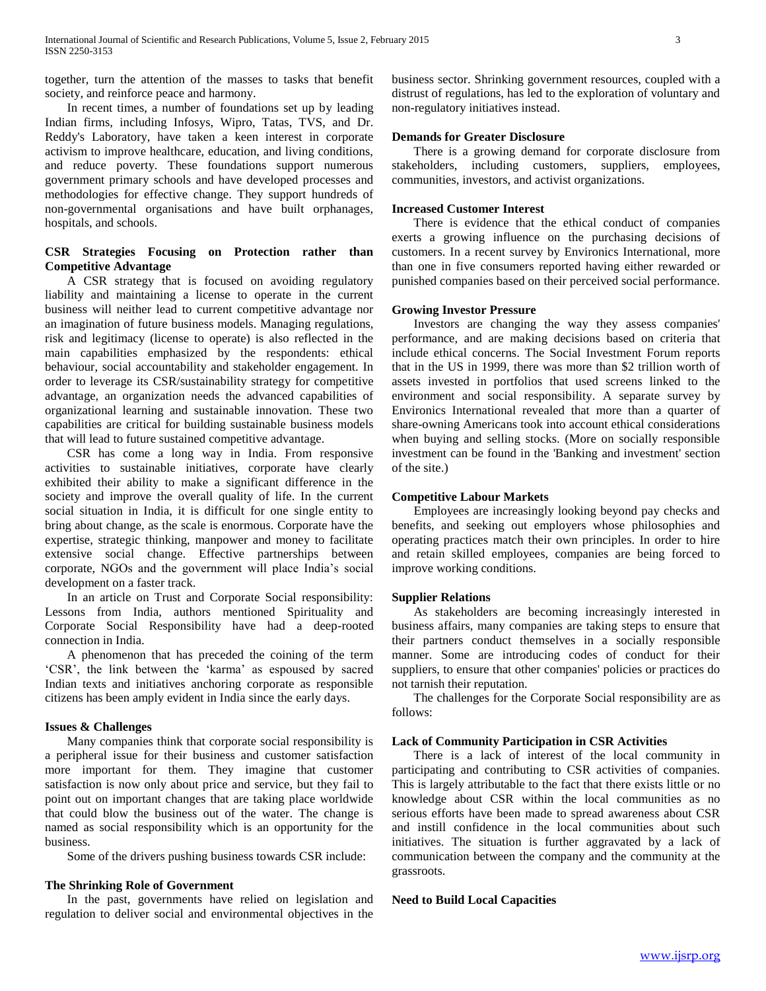together, turn the attention of the masses to tasks that benefit society, and reinforce peace and harmony.

 In recent times, a number of foundations set up by leading Indian firms, including Infosys, Wipro, Tatas, TVS, and Dr. Reddy's Laboratory, have taken a keen interest in corporate activism to improve healthcare, education, and living conditions, and reduce poverty. These foundations support numerous government primary schools and have developed processes and methodologies for effective change. They support hundreds of non-governmental organisations and have built orphanages, hospitals, and schools.

# **CSR Strategies Focusing on Protection rather than Competitive Advantage**

 A CSR strategy that is focused on avoiding regulatory liability and maintaining a license to operate in the current business will neither lead to current competitive advantage nor an imagination of future business models. Managing regulations, risk and legitimacy (license to operate) is also reflected in the main capabilities emphasized by the respondents: ethical behaviour, social accountability and stakeholder engagement. In order to leverage its CSR/sustainability strategy for competitive advantage, an organization needs the advanced capabilities of organizational learning and sustainable innovation. These two capabilities are critical for building sustainable business models that will lead to future sustained competitive advantage.

 CSR has come a long way in India. From responsive activities to sustainable initiatives, corporate have clearly exhibited their ability to make a significant difference in the society and improve the overall quality of life. In the current social situation in India, it is difficult for one single entity to bring about change, as the scale is enormous. Corporate have the expertise, strategic thinking, manpower and money to facilitate extensive social change. Effective partnerships between corporate, NGOs and the government will place India's social development on a faster track.

 In an article on Trust and Corporate Social responsibility: Lessons from India, authors mentioned Spirituality and Corporate Social Responsibility have had a deep-rooted connection in India.

 A phenomenon that has preceded the coining of the term 'CSR', the link between the 'karma' as espoused by sacred Indian texts and initiatives anchoring corporate as responsible citizens has been amply evident in India since the early days.

## **Issues & Challenges**

 Many companies think that corporate social responsibility is a peripheral issue for their business and customer satisfaction more important for them. They imagine that customer satisfaction is now only about price and service, but they fail to point out on important changes that are taking place worldwide that could blow the business out of the water. The change is named as social responsibility which is an opportunity for the business.

Some of the drivers pushing business towards CSR include:

#### **The Shrinking Role of Government**

 In the past, governments have relied on legislation and regulation to deliver social and environmental objectives in the

business sector. Shrinking government resources, coupled with a distrust of regulations, has led to the exploration of voluntary and non-regulatory initiatives instead.

## **Demands for Greater Disclosure**

 There is a growing demand for corporate disclosure from stakeholders, including customers, suppliers, employees, communities, investors, and activist organizations.

# **Increased Customer Interest**

 There is evidence that the ethical conduct of companies exerts a growing influence on the purchasing decisions of customers. In a recent survey by Environics International, more than one in five consumers reported having either rewarded or punished companies based on their perceived social performance.

## **Growing Investor Pressure**

 Investors are changing the way they assess companies' performance, and are making decisions based on criteria that include ethical concerns. The Social Investment Forum reports that in the US in 1999, there was more than \$2 trillion worth of assets invested in portfolios that used screens linked to the environment and social responsibility. A separate survey by Environics International revealed that more than a quarter of share-owning Americans took into account ethical considerations when buying and selling stocks. (More on socially responsible investment can be found in the 'Banking and investment' section of the site.)

#### **Competitive Labour Markets**

 Employees are increasingly looking beyond pay checks and benefits, and seeking out employers whose philosophies and operating practices match their own principles. In order to hire and retain skilled employees, companies are being forced to improve working conditions.

## **Supplier Relations**

 As stakeholders are becoming increasingly interested in business affairs, many companies are taking steps to ensure that their partners conduct themselves in a socially responsible manner. Some are introducing codes of conduct for their suppliers, to ensure that other companies' policies or practices do not tarnish their reputation.

 The challenges for the Corporate Social responsibility are as follows:

## **Lack of Community Participation in CSR Activities**

 There is a lack of interest of the local community in participating and contributing to CSR activities of companies. This is largely attributable to the fact that there exists little or no knowledge about CSR within the local communities as no serious efforts have been made to spread awareness about CSR and instill confidence in the local communities about such initiatives. The situation is further aggravated by a lack of communication between the company and the community at the grassroots.

## **Need to Build Local Capacities**